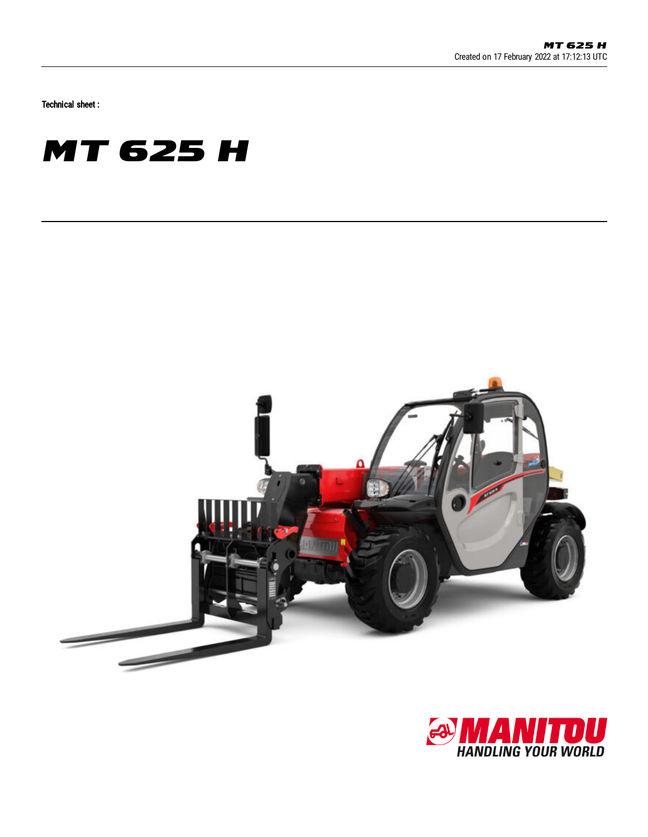Technical sheet :





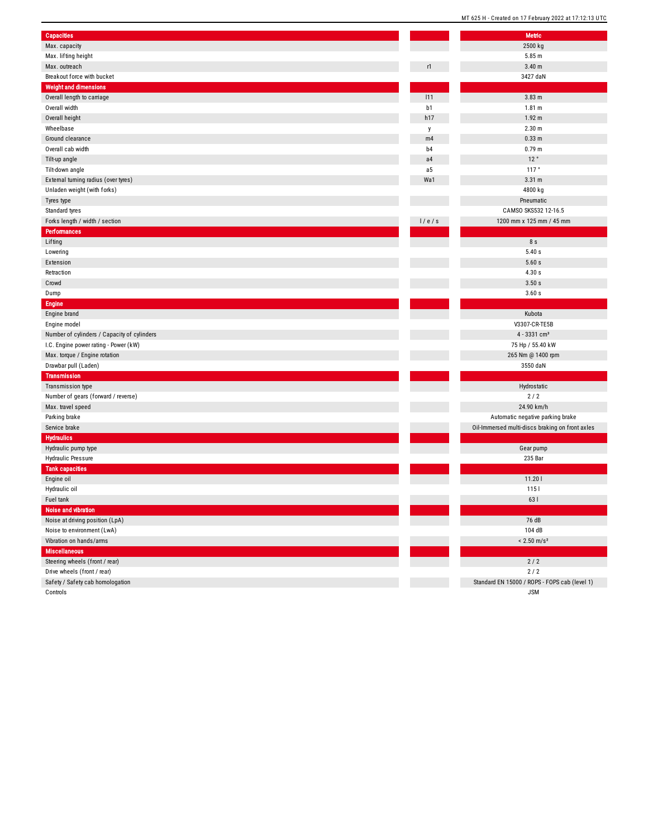| <b>Capacities</b>                           |                | Metric                                          |
|---------------------------------------------|----------------|-------------------------------------------------|
| Max. capacity                               |                | 2500 kg                                         |
| Max. lifting height                         |                | 5.85 m                                          |
| Max. outreach                               | r1             | 3.40 <sub>m</sub>                               |
| Breakout force with bucket                  |                | 3427 daN                                        |
| <b>Weight and dimensions</b>                |                |                                                 |
| Overall length to carriage                  | 111            | 3.83 <sub>m</sub>                               |
| Overall width                               | b1             | 1.81 m                                          |
| Overall height                              | h17            | 1.92 m                                          |
| Wheelbase                                   | у              | 2.30 <sub>m</sub>                               |
| Ground clearance                            | m4             | 0.33 <sub>m</sub>                               |
| Overall cab width                           | b <sub>4</sub> | 0.79 <sub>m</sub>                               |
| Tilt-up angle                               | a <sub>4</sub> | 12°                                             |
| Tilt-down angle                             | a5             | 117°                                            |
| External turning radius (over tyres)        | Wa1            | 3.31 m                                          |
| Unladen weight (with forks)                 |                | 4800 kg                                         |
| Tyres type                                  |                | Pneumatic                                       |
| Standard tyres                              |                | CAMSO SKS532 12-16.5                            |
| Forks length / width / section              | 1/e/s          | 1200 mm x 125 mm / 45 mm                        |
| <b>Performances</b>                         |                |                                                 |
| Lifting                                     |                | 8 s                                             |
| Lowering                                    |                | 5.40s                                           |
| Extension                                   |                | 5.60s                                           |
| Retraction                                  |                | 4.30s                                           |
| Crowd                                       |                | 3.50 s                                          |
| Dump                                        |                | 3.60 s                                          |
| <b>Engine</b>                               |                |                                                 |
| Engine brand                                |                | Kubota                                          |
| Engine model                                |                | V3307-CR-TE5B                                   |
| Number of cylinders / Capacity of cylinders |                | 4 - 3331 cm <sup>3</sup>                        |
| I.C. Engine power rating - Power (kW)       |                | 75 Hp / 55.40 kW                                |
| Max. torque / Engine rotation               |                | 265 Nm @ 1400 rpm                               |
| Drawbar pull (Laden)                        |                | 3550 daN                                        |
| <b>Transmission</b>                         |                |                                                 |
| Transmission type                           |                | Hydrostatic                                     |
| Number of gears (forward / reverse)         |                | 2/2                                             |
| Max. travel speed                           |                | 24.90 km/h                                      |
| Parking brake                               |                | Automatic negative parking brake                |
| Service brake                               |                | Oil-Immersed multi-discs braking on front axles |
| <b>Hydraulics</b>                           |                |                                                 |
| Hydraulic pump type                         |                | Gear pump                                       |
| Hydraulic Pressure                          |                | 235 Bar                                         |
| <b>Tank capacities</b>                      |                |                                                 |
| Engine oil                                  |                | 11.201                                          |
| Hydraulic oil                               |                | 1151                                            |
| Fuel tank                                   |                | 63 l                                            |
| Noise and vibration                         |                |                                                 |
| Noise at driving position (LpA)             |                | 76 dB                                           |
| Noise to environment (LwA)                  |                | 104 dB                                          |
| Vibration on hands/arms                     |                | $< 2.50$ m/s <sup>2</sup>                       |
| <b>Miscellaneous</b>                        |                |                                                 |
|                                             |                |                                                 |
| Steering wheels (front / rear)              |                | $2/2$                                           |
| Drive wheels (front / rear)                 |                | 2/2                                             |
| Safety / Safety cab homologation            |                | Standard EN 15000 / ROPS - FOPS cab (level 1)   |
| Controls                                    |                | <b>JSM</b>                                      |

MT 625 H - Created on 17 February 2022 at 17:12:13 UTC Metric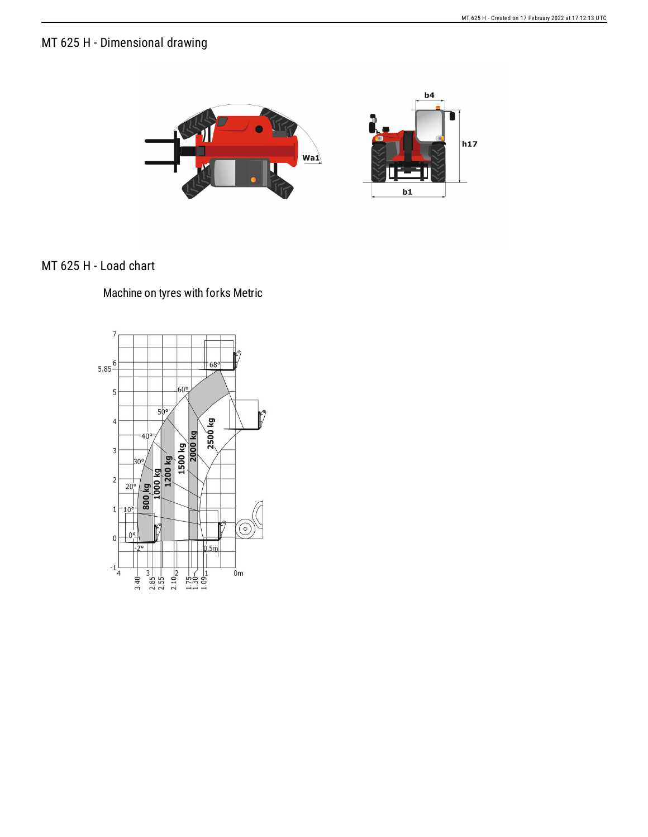## MT 625 H - Dimensional drawing



## MT 625 H - Load chart

## Machine on tyres with forks Metric